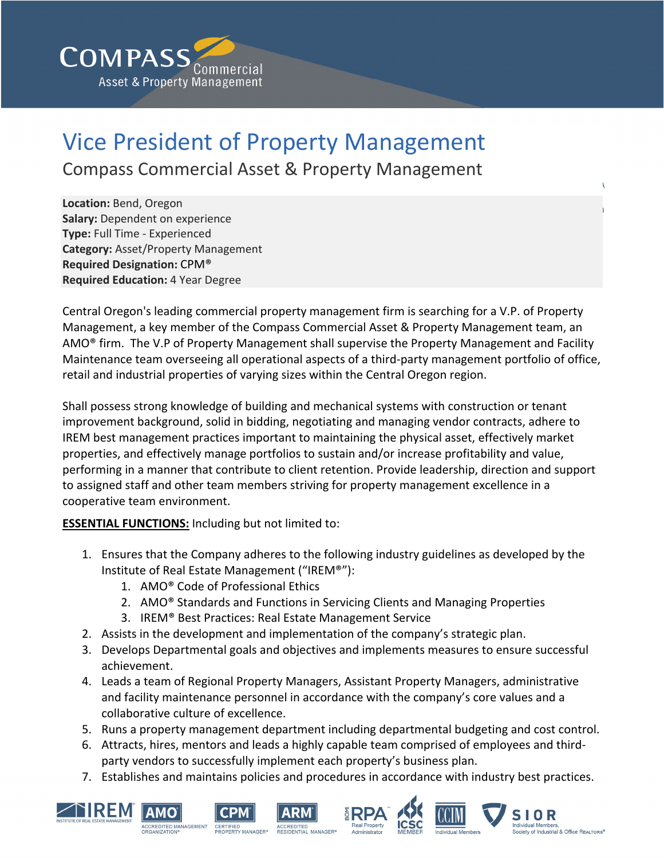

## Vice President of Property Management

Compass Commercial Asset & Property Management

**Location:** Bend, Oregon **Salary:** Dependent on experience **Type:** Full Time ‐ Experienced **Category:** Asset/Property Management **Required Designation:** CPM® **Required Education:** 4 Year Degree

Central Oregon's leading commercial property management firm is searching for a V.P. of Property Management, a key member of the Compass Commercial Asset & Property Management team, an AMO® firm. The V.P of Property Management shall supervise the Property Management and Facility Maintenance team overseeing all operational aspects of a third‐party management portfolio of office, retail and industrial properties of varying sizes within the Central Oregon region.

Shall possess strong knowledge of building and mechanical systems with construction or tenant improvement background, solid in bidding, negotiating and managing vendor contracts, adhere to IREM best management practices important to maintaining the physical asset, effectively market properties, and effectively manage portfolios to sustain and/or increase profitability and value, performing in a manner that contribute to client retention. Provide leadership, direction and support to assigned staff and other team members striving for property management excellence in a cooperative team environment.

**ESSENTIAL FUNCTIONS:** Including but not limited to:

- 1. Ensures that the Company adheres to the following industry guidelines as developed by the Institute of Real Estate Management ("IREM®"):
	- 1. AMO® Code of Professional Ethics
	- 2. AMO® Standards and Functions in Servicing Clients and Managing Properties
	- 3. IREM® Best Practices: Real Estate Management Service
- 2. Assists in the development and implementation of the company's strategic plan.
- 3. Develops Departmental goals and objectives and implements measures to ensure successful achievement.
- 4. Leads a team of Regional Property Managers, Assistant Property Managers, administrative and facility maintenance personnel in accordance with the company's core values and a collaborative culture of excellence.
- 5. Runs a property management department including departmental budgeting and cost control.
- 6. Attracts, hires, mentors and leads a highly capable team comprised of employees and third‐ party vendors to successfully implement each property's business plan.
- 7. Establishes and maintains policies and procedures in accordance with industry best practices.













**SIOR** 

**Sety of Industrial & Office REALTORS®**